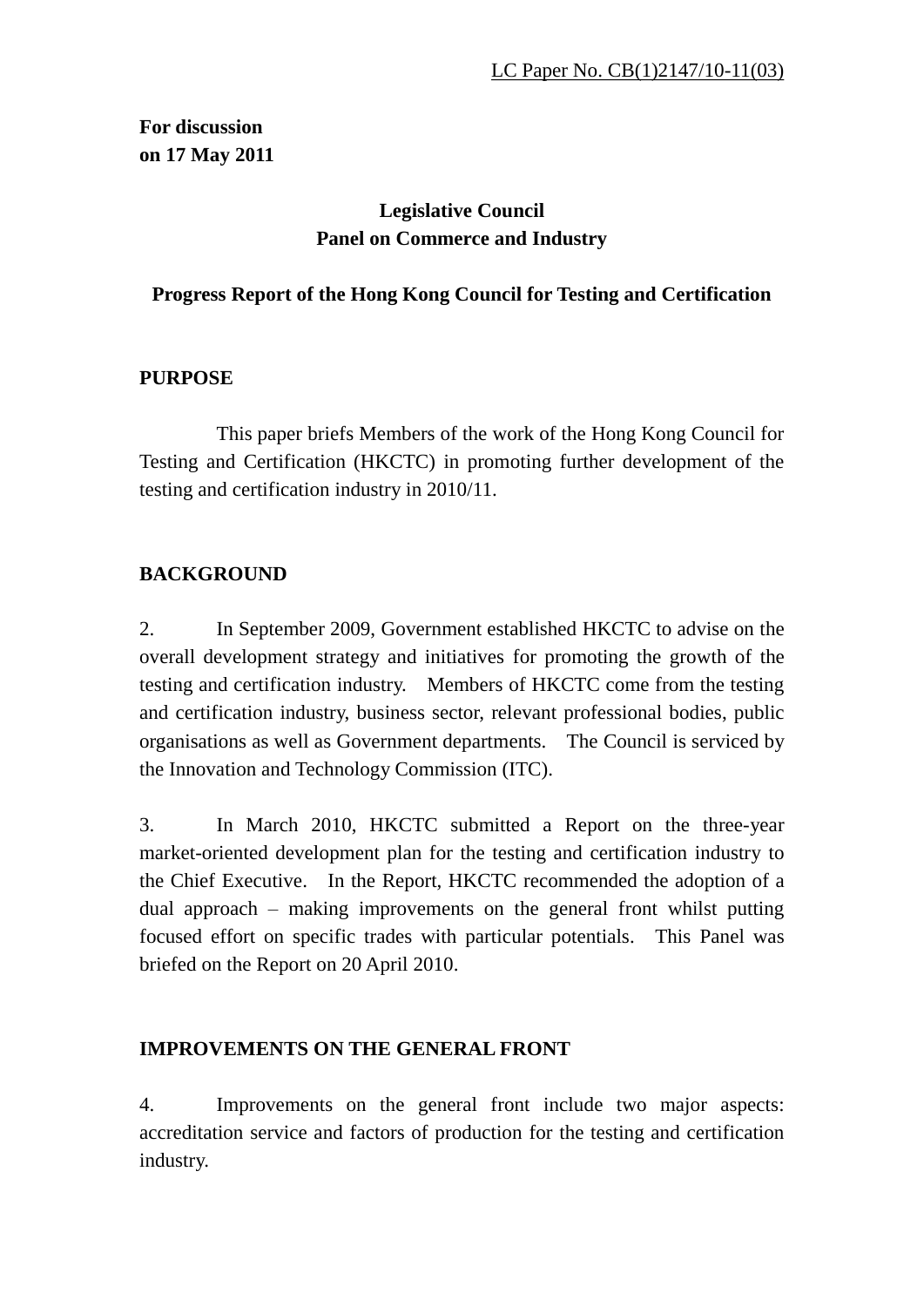**For discussion on 17 May 2011**

# **Legislative Council Panel on Commerce and Industry**

# **Progress Report of the Hong Kong Council for Testing and Certification**

# **PURPOSE**

 This paper briefs Members of the work of the Hong Kong Council for Testing and Certification (HKCTC) in promoting further development of the testing and certification industry in 2010/11.

# **BACKGROUND**

2. In September 2009, Government established HKCTC to advise on the overall development strategy and initiatives for promoting the growth of the testing and certification industry. Members of HKCTC come from the testing and certification industry, business sector, relevant professional bodies, public organisations as well as Government departments. The Council is serviced by the Innovation and Technology Commission (ITC).

3. In March 2010, HKCTC submitted a Report on the three-year market-oriented development plan for the testing and certification industry to the Chief Executive. In the Report, HKCTC recommended the adoption of a dual approach – making improvements on the general front whilst putting focused effort on specific trades with particular potentials. This Panel was briefed on the Report on 20 April 2010.

# **IMPROVEMENTS ON THE GENERAL FRONT**

4. Improvements on the general front include two major aspects: accreditation service and factors of production for the testing and certification industry.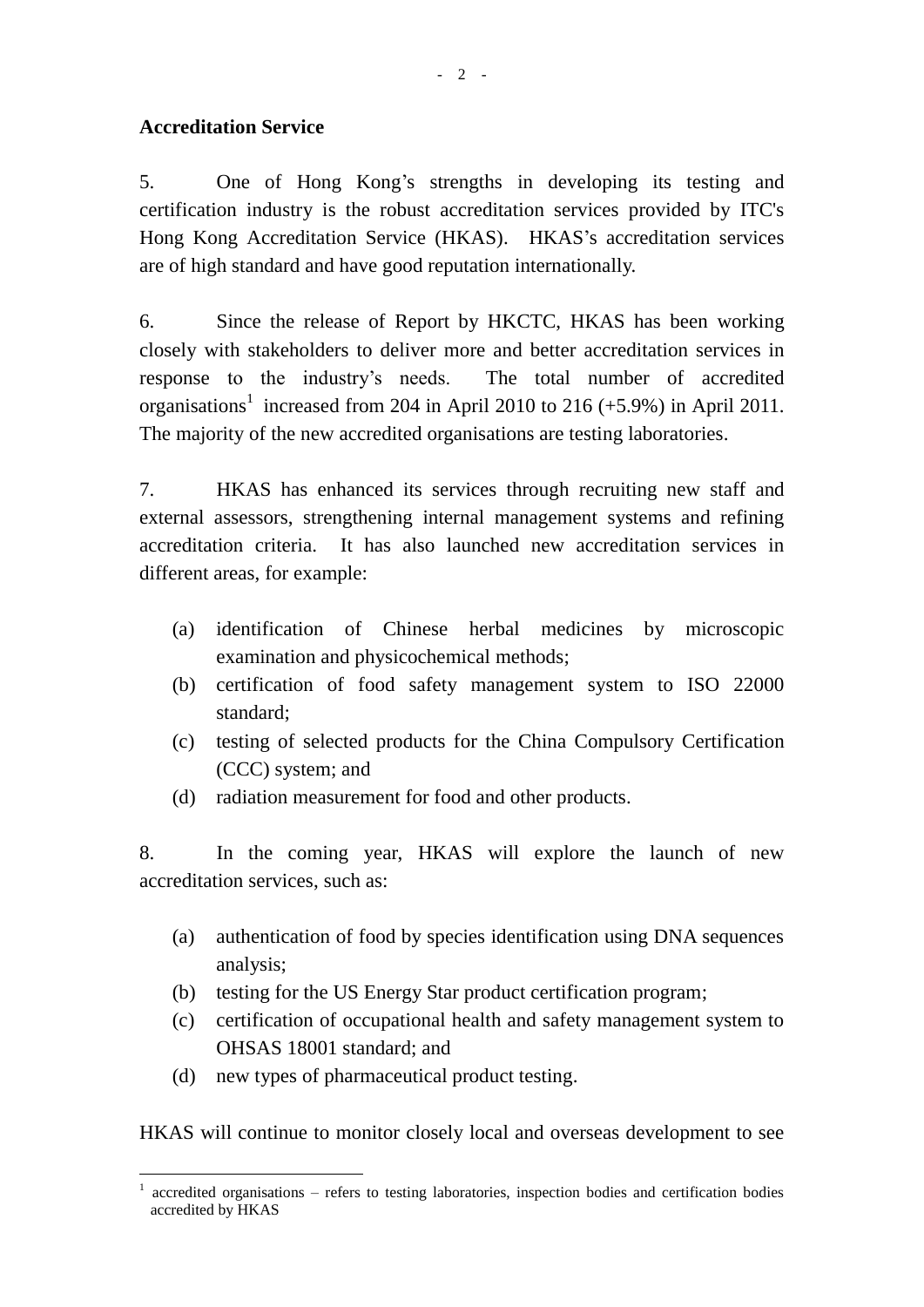## **Accreditation Service**

5. One of Hong Kong's strengths in developing its testing and certification industry is the robust accreditation services provided by ITC's Hong Kong Accreditation Service (HKAS). HKAS's accreditation services are of high standard and have good reputation internationally.

6. Since the release of Report by HKCTC, HKAS has been working closely with stakeholders to deliver more and better accreditation services in response to the industry's needs. The total number of accredited organisations<sup>1</sup> increased from 204 in April 2010 to 216  $(+5.9\%)$  in April 2011. The majority of the new accredited organisations are testing laboratories.

7. HKAS has enhanced its services through recruiting new staff and external assessors, strengthening internal management systems and refining accreditation criteria. It has also launched new accreditation services in different areas, for example:

- (a) identification of Chinese herbal medicines by microscopic examination and physicochemical methods;
- (b) certification of food safety management system to ISO 22000 standard;
- (c) testing of selected products for the China Compulsory Certification (CCC) system; and
- (d) radiation measurement for food and other products.

8. In the coming year, HKAS will explore the launch of new accreditation services, such as:

- (a) authentication of food by species identification using DNA sequences analysis;
- (b) testing for the US Energy Star product certification program;
- (c) certification of occupational health and safety management system to OHSAS 18001 standard; and
- (d) new types of pharmaceutical product testing.

 $\overline{a}$ 

HKAS will continue to monitor closely local and overseas development to see

<sup>1</sup> accredited organisations – refers to testing laboratories, inspection bodies and certification bodies accredited by HKAS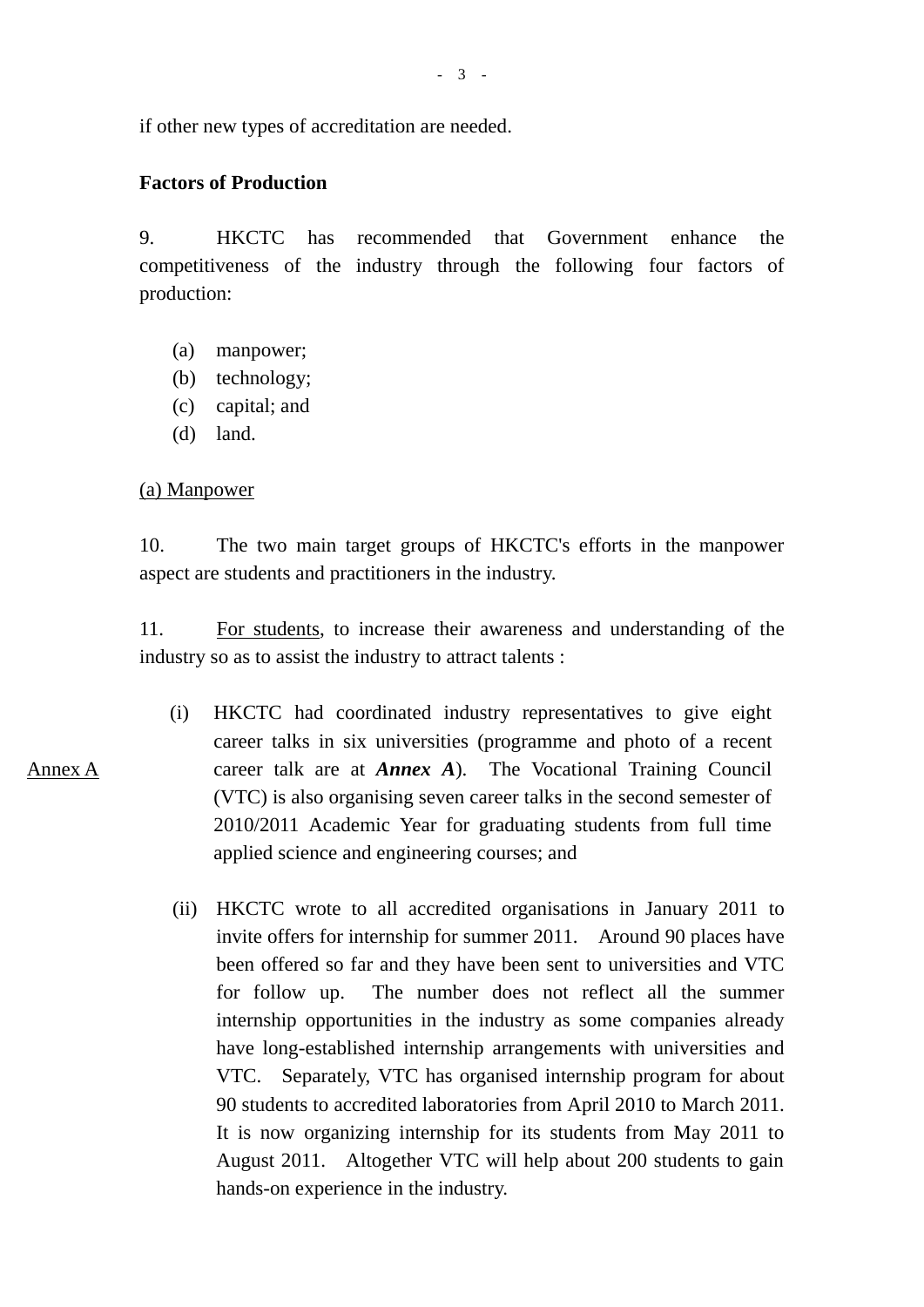if other new types of accreditation are needed.

### **Factors of Production**

9. HKCTC has recommended that Government enhance the competitiveness of the industry through the following four factors of production:

- (a) manpower;
- (b) technology;
- (c) capital; and
- (d) land.

### (a) Manpower

10. The two main target groups of HKCTC's efforts in the manpower aspect are students and practitioners in the industry.

11. For students, to increase their awareness and understanding of the industry so as to assist the industry to attract talents :

- (i) HKCTC had coordinated industry representatives to give eight career talks in six universities (programme and photo of a recent career talk are at *Annex A*). The Vocational Training Council (VTC) is also organising seven career talks in the second semester of 2010/2011 Academic Year for graduating students from full time applied science and engineering courses; and
- (ii) HKCTC wrote to all accredited organisations in January 2011 to invite offers for internship for summer 2011. Around 90 places have been offered so far and they have been sent to universities and VTC for follow up. The number does not reflect all the summer internship opportunities in the industry as some companies already have long-established internship arrangements with universities and VTC. Separately, VTC has organised internship program for about 90 students to accredited laboratories from April 2010 to March 2011. It is now organizing internship for its students from May 2011 to August 2011. Altogether VTC will help about 200 students to gain hands-on experience in the industry.

Annex A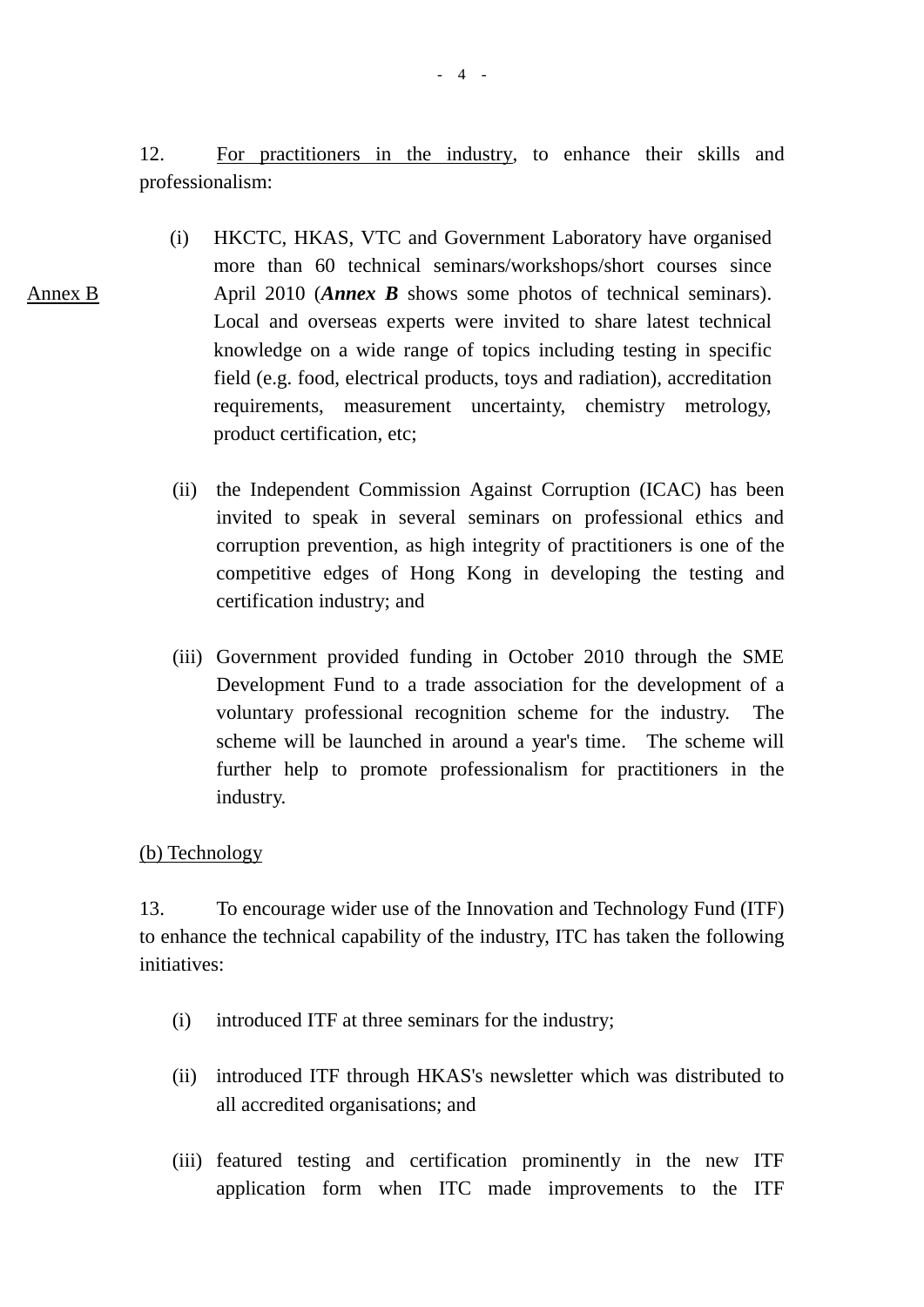12. For practitioners in the industry, to enhance their skills and professionalism:

- (i) HKCTC, HKAS, VTC and Government Laboratory have organised more than 60 technical seminars/workshops/short courses since April 2010 (*Annex B* shows some photos of technical seminars). Local and overseas experts were invited to share latest technical knowledge on a wide range of topics including testing in specific field (e.g. food, electrical products, toys and radiation), accreditation requirements, measurement uncertainty, chemistry metrology, product certification, etc;
	- (ii) the Independent Commission Against Corruption (ICAC) has been invited to speak in several seminars on professional ethics and corruption prevention, as high integrity of practitioners is one of the competitive edges of Hong Kong in developing the testing and certification industry; and
	- (iii) Government provided funding in October 2010 through the SME Development Fund to a trade association for the development of a voluntary professional recognition scheme for the industry. The scheme will be launched in around a year's time. The scheme will further help to promote professionalism for practitioners in the industry.

### (b) Technology

Annex B

13. To encourage wider use of the Innovation and Technology Fund (ITF) to enhance the technical capability of the industry, ITC has taken the following initiatives:

- (i) introduced ITF at three seminars for the industry;
- (ii) introduced ITF through HKAS's newsletter which was distributed to all accredited organisations; and
- (iii) featured testing and certification prominently in the new ITF application form when ITC made improvements to the ITF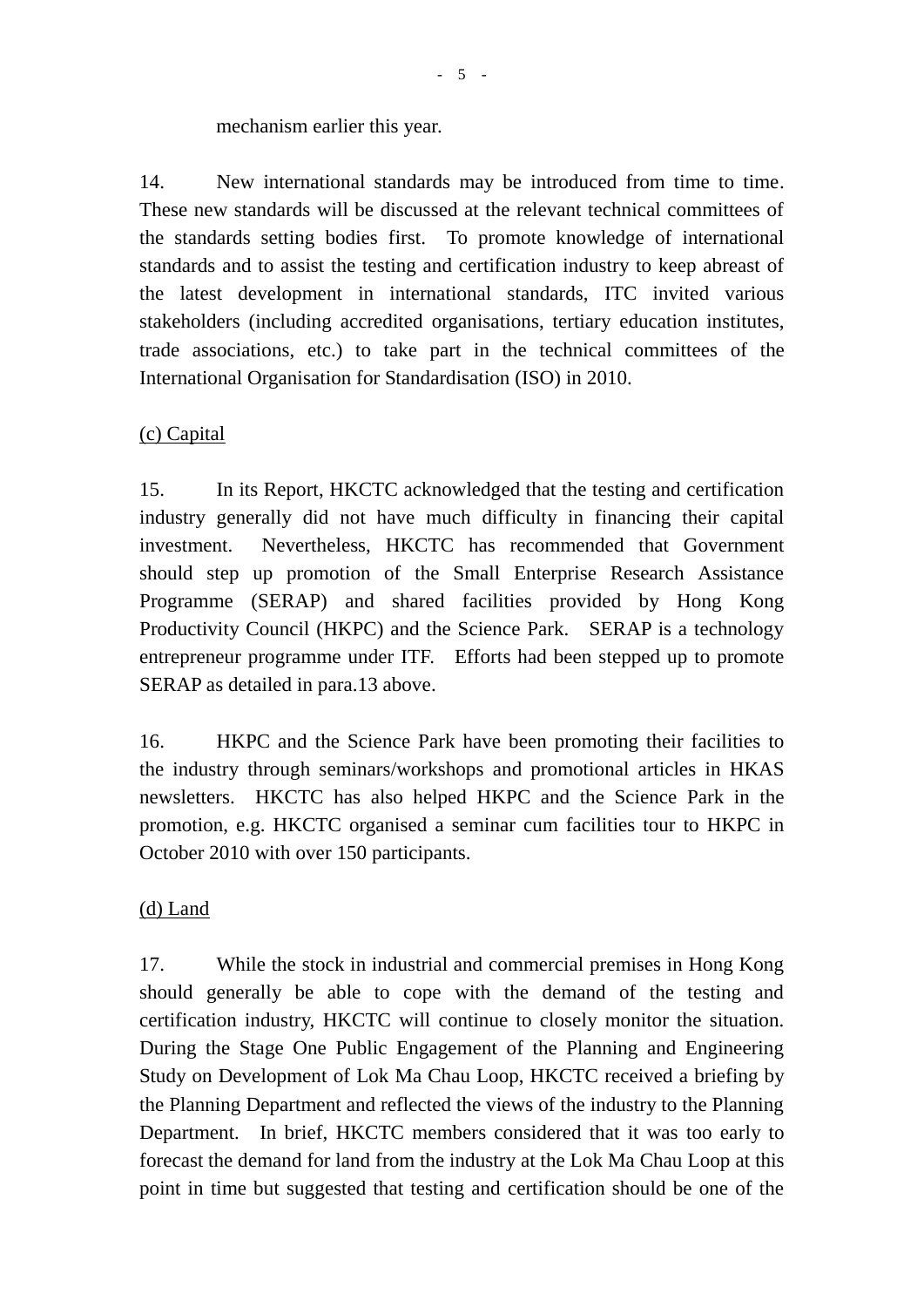## mechanism earlier this year.

14. New international standards may be introduced from time to time. These new standards will be discussed at the relevant technical committees of the standards setting bodies first. To promote knowledge of international standards and to assist the testing and certification industry to keep abreast of the latest development in international standards, ITC invited various stakeholders (including accredited organisations, tertiary education institutes, trade associations, etc.) to take part in the technical committees of the International Organisation for Standardisation (ISO) in 2010.

# (c) Capital

15. In its Report, HKCTC acknowledged that the testing and certification industry generally did not have much difficulty in financing their capital investment. Nevertheless, HKCTC has recommended that Government should step up promotion of the Small Enterprise Research Assistance Programme (SERAP) and shared facilities provided by Hong Kong Productivity Council (HKPC) and the Science Park. SERAP is a technology entrepreneur programme under ITF. Efforts had been stepped up to promote SERAP as detailed in para.13 above.

16. HKPC and the Science Park have been promoting their facilities to the industry through seminars/workshops and promotional articles in HKAS newsletters. HKCTC has also helped HKPC and the Science Park in the promotion, e.g. HKCTC organised a seminar cum facilities tour to HKPC in October 2010 with over 150 participants.

## (d) Land

17. While the stock in industrial and commercial premises in Hong Kong should generally be able to cope with the demand of the testing and certification industry, HKCTC will continue to closely monitor the situation. During the Stage One Public Engagement of the Planning and Engineering Study on Development of Lok Ma Chau Loop, HKCTC received a briefing by the Planning Department and reflected the views of the industry to the Planning Department. In brief, HKCTC members considered that it was too early to forecast the demand for land from the industry at the Lok Ma Chau Loop at this point in time but suggested that testing and certification should be one of the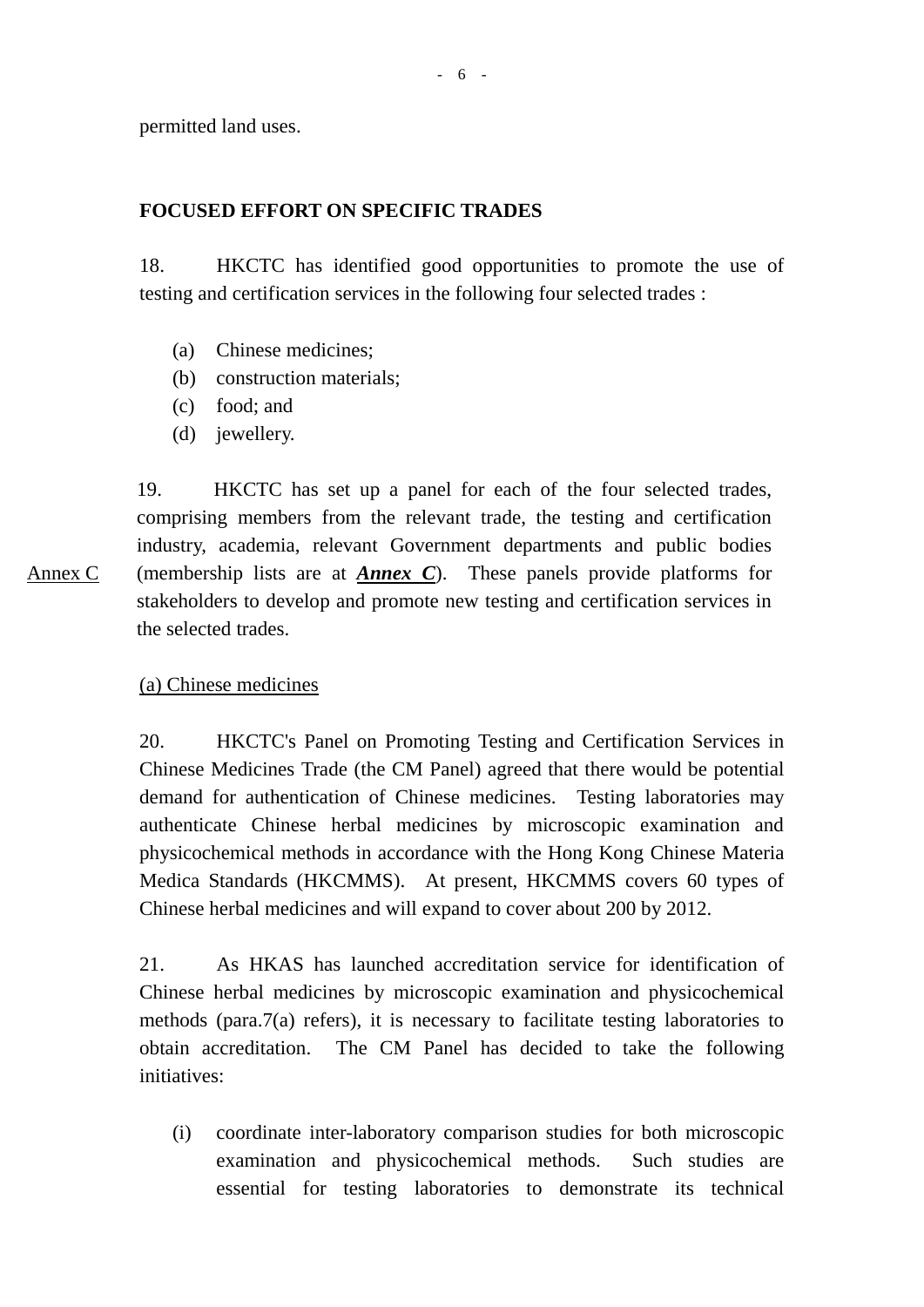permitted land uses.

### **FOCUSED EFFORT ON SPECIFIC TRADES**

18. HKCTC has identified good opportunities to promote the use of testing and certification services in the following four selected trades :

- (a) Chinese medicines;
- (b) construction materials;
- (c) food; and
- (d) jewellery.

Annex C 19. HKCTC has set up a panel for each of the four selected trades, comprising members from the relevant trade, the testing and certification industry, academia, relevant Government departments and public bodies (membership lists are at *Annex C*). These panels provide platforms for stakeholders to develop and promote new testing and certification services in the selected trades.

### (a) Chinese medicines

20. HKCTC's Panel on Promoting Testing and Certification Services in Chinese Medicines Trade (the CM Panel) agreed that there would be potential demand for authentication of Chinese medicines. Testing laboratories may authenticate Chinese herbal medicines by microscopic examination and physicochemical methods in accordance with the Hong Kong Chinese Materia Medica Standards (HKCMMS). At present, HKCMMS covers 60 types of Chinese herbal medicines and will expand to cover about 200 by 2012.

21. As HKAS has launched accreditation service for identification of Chinese herbal medicines by microscopic examination and physicochemical methods (para.7(a) refers), it is necessary to facilitate testing laboratories to obtain accreditation. The CM Panel has decided to take the following initiatives:

(i) coordinate inter-laboratory comparison studies for both microscopic examination and physicochemical methods. Such studies are essential for testing laboratories to demonstrate its technical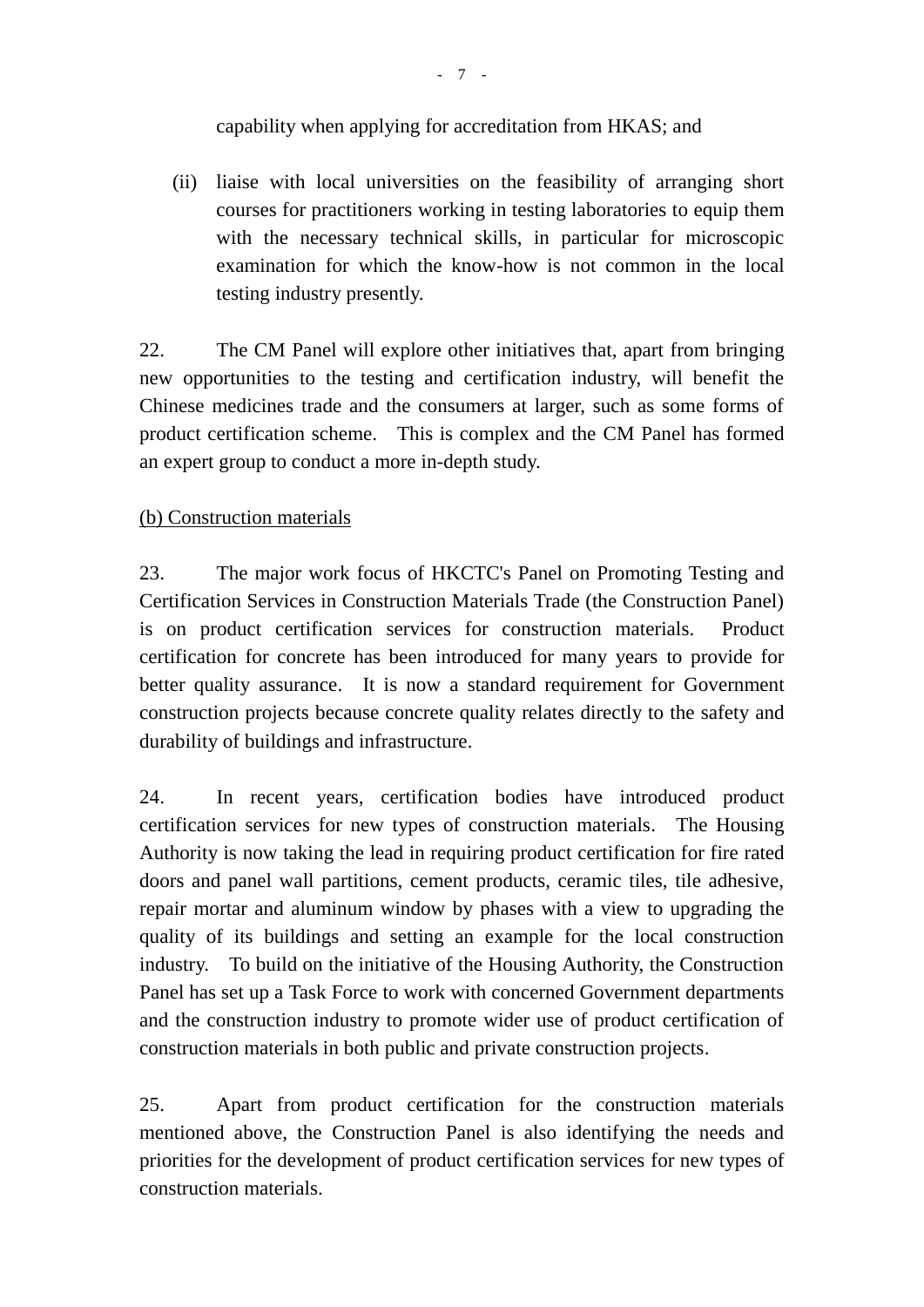# capability when applying for accreditation from HKAS; and

(ii) liaise with local universities on the feasibility of arranging short courses for practitioners working in testing laboratories to equip them with the necessary technical skills, in particular for microscopic examination for which the know-how is not common in the local testing industry presently.

22. The CM Panel will explore other initiatives that, apart from bringing new opportunities to the testing and certification industry, will benefit the Chinese medicines trade and the consumers at larger, such as some forms of product certification scheme. This is complex and the CM Panel has formed an expert group to conduct a more in-depth study.

# (b) Construction materials

23. The major work focus of HKCTC's Panel on Promoting Testing and Certification Services in Construction Materials Trade (the Construction Panel) is on product certification services for construction materials. Product certification for concrete has been introduced for many years to provide for better quality assurance. It is now a standard requirement for Government construction projects because concrete quality relates directly to the safety and durability of buildings and infrastructure.

24. In recent years, certification bodies have introduced product certification services for new types of construction materials. The Housing Authority is now taking the lead in requiring product certification for fire rated doors and panel wall partitions, cement products, ceramic tiles, tile adhesive, repair mortar and aluminum window by phases with a view to upgrading the quality of its buildings and setting an example for the local construction industry. To build on the initiative of the Housing Authority, the Construction Panel has set up a Task Force to work with concerned Government departments and the construction industry to promote wider use of product certification of construction materials in both public and private construction projects.

25. Apart from product certification for the construction materials mentioned above, the Construction Panel is also identifying the needs and priorities for the development of product certification services for new types of construction materials.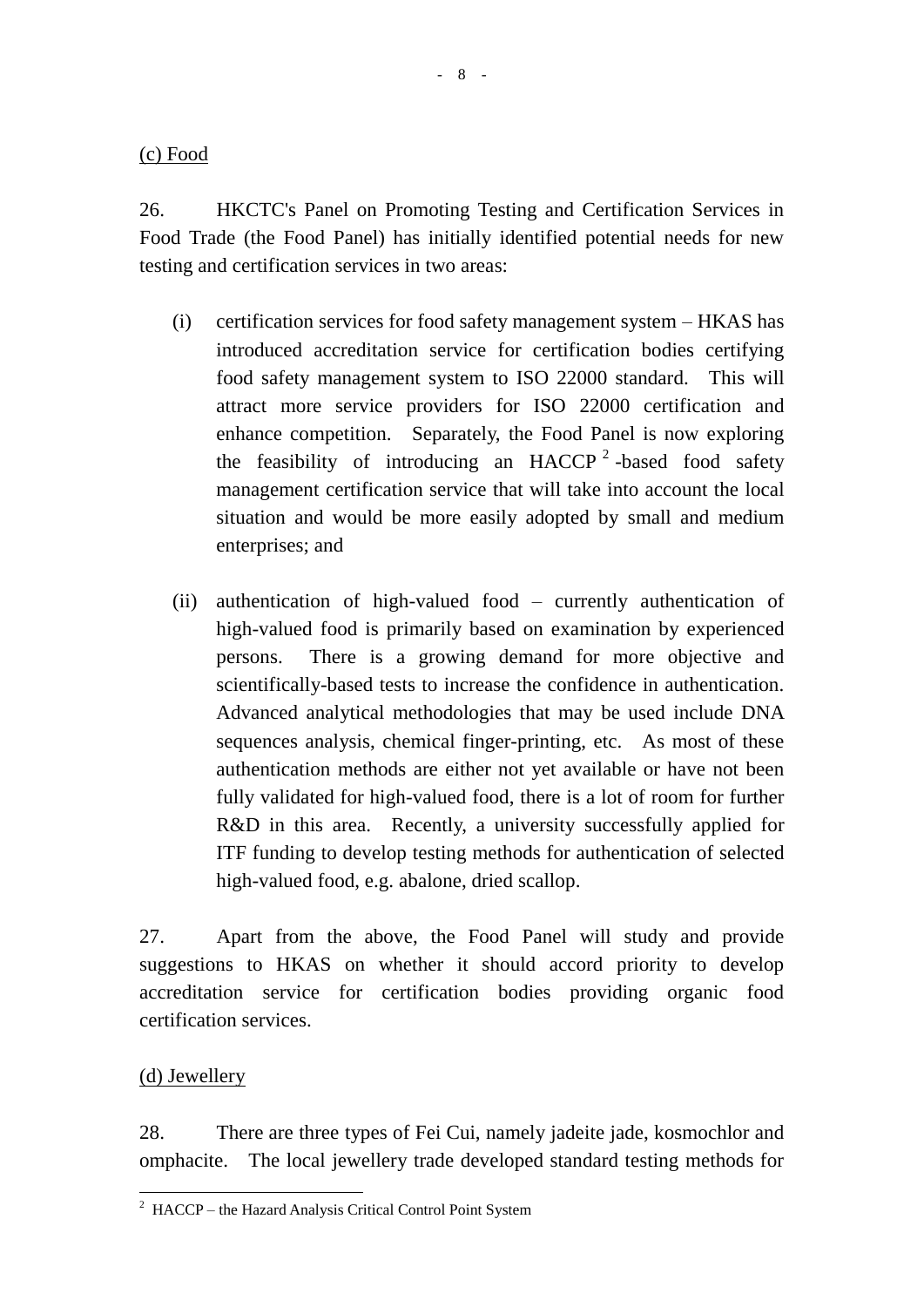(c) Food

26. HKCTC's Panel on Promoting Testing and Certification Services in Food Trade (the Food Panel) has initially identified potential needs for new testing and certification services in two areas:

- (i) certification services for food safety management system HKAS has introduced accreditation service for certification bodies certifying food safety management system to ISO 22000 standard. This will attract more service providers for ISO 22000 certification and enhance competition. Separately, the Food Panel is now exploring the feasibility of introducing an HACCP<sup>2</sup>-based food safety management certification service that will take into account the local situation and would be more easily adopted by small and medium enterprises; and
- (ii) authentication of high-valued food currently authentication of high-valued food is primarily based on examination by experienced persons. There is a growing demand for more objective and scientifically-based tests to increase the confidence in authentication. Advanced analytical methodologies that may be used include DNA sequences analysis, chemical finger-printing, etc. As most of these authentication methods are either not yet available or have not been fully validated for high-valued food, there is a lot of room for further R&D in this area. Recently, a university successfully applied for ITF funding to develop testing methods for authentication of selected high-valued food, e.g. abalone, dried scallop.

27. Apart from the above, the Food Panel will study and provide suggestions to HKAS on whether it should accord priority to develop accreditation service for certification bodies providing organic food certification services.

## (d) Jewellery

 $\overline{a}$ 

28. There are three types of Fei Cui, namely jadeite jade, kosmochlor and omphacite. The local jewellery trade developed standard testing methods for

<sup>2</sup> HACCP – the Hazard Analysis Critical Control Point System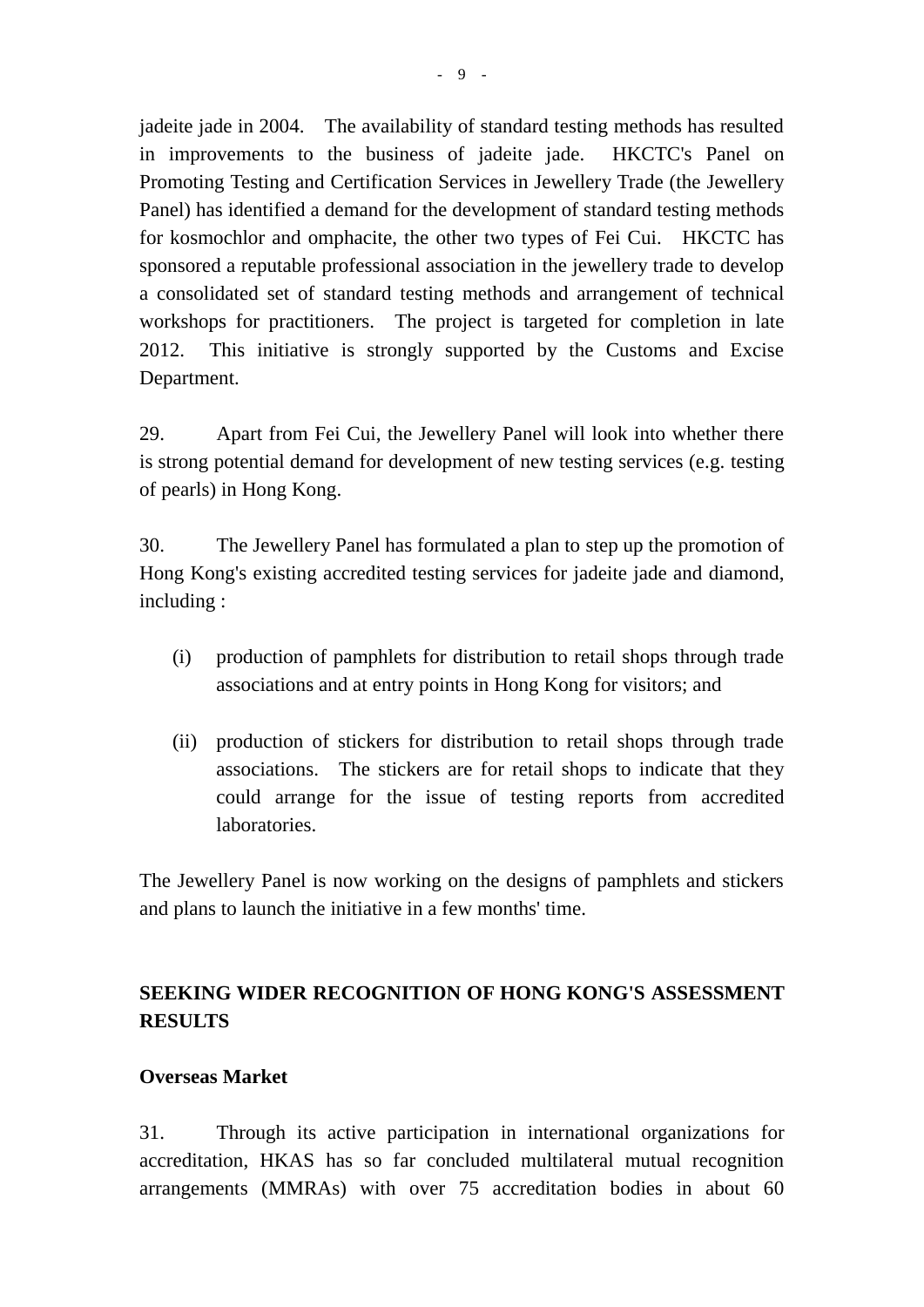jadeite jade in 2004. The availability of standard testing methods has resulted in improvements to the business of jadeite jade. HKCTC's Panel on Promoting Testing and Certification Services in Jewellery Trade (the Jewellery Panel) has identified a demand for the development of standard testing methods for kosmochlor and omphacite, the other two types of Fei Cui. HKCTC has sponsored a reputable professional association in the jewellery trade to develop a consolidated set of standard testing methods and arrangement of technical workshops for practitioners. The project is targeted for completion in late 2012. This initiative is strongly supported by the Customs and Excise Department.

29. Apart from Fei Cui, the Jewellery Panel will look into whether there is strong potential demand for development of new testing services (e.g. testing of pearls) in Hong Kong.

30. The Jewellery Panel has formulated a plan to step up the promotion of Hong Kong's existing accredited testing services for jadeite jade and diamond, including :

- (i) production of pamphlets for distribution to retail shops through trade associations and at entry points in Hong Kong for visitors; and
- (ii) production of stickers for distribution to retail shops through trade associations. The stickers are for retail shops to indicate that they could arrange for the issue of testing reports from accredited laboratories.

The Jewellery Panel is now working on the designs of pamphlets and stickers and plans to launch the initiative in a few months' time.

# **SEEKING WIDER RECOGNITION OF HONG KONG'S ASSESSMENT RESULTS**

## **Overseas Market**

31. Through its active participation in international organizations for accreditation, HKAS has so far concluded multilateral mutual recognition arrangements (MMRAs) with over 75 accreditation bodies in about 60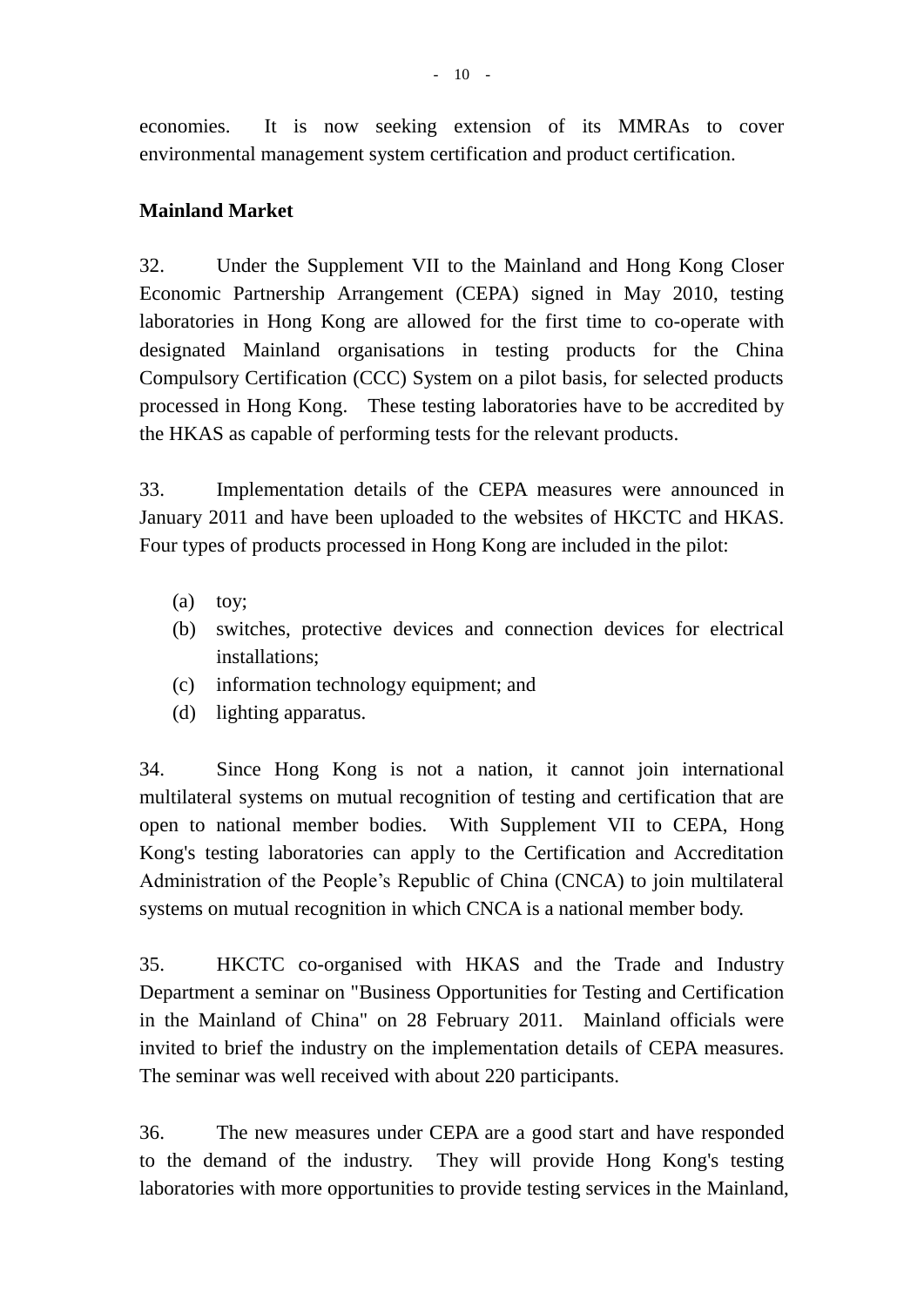economies. It is now seeking extension of its MMRAs to cover environmental management system certification and product certification.

## **Mainland Market**

32. Under the Supplement VII to the Mainland and Hong Kong Closer Economic Partnership Arrangement (CEPA) signed in May 2010, testing laboratories in Hong Kong are allowed for the first time to co-operate with designated Mainland organisations in testing products for the China Compulsory Certification (CCC) System on a pilot basis, for selected products processed in Hong Kong. These testing laboratories have to be accredited by the HKAS as capable of performing tests for the relevant products.

33. Implementation details of the CEPA measures were announced in January 2011 and have been uploaded to the websites of HKCTC and HKAS. Four types of products processed in Hong Kong are included in the pilot:

- (a) toy;
- (b) switches, protective devices and connection devices for electrical installations;
- (c) information technology equipment; and
- (d) lighting apparatus.

34. Since Hong Kong is not a nation, it cannot join international multilateral systems on mutual recognition of testing and certification that are open to national member bodies. With Supplement VII to CEPA, Hong Kong's testing laboratories can apply to the Certification and Accreditation Administration of the People's Republic of China (CNCA) to join multilateral systems on mutual recognition in which CNCA is a national member body.

35. HKCTC co-organised with HKAS and the Trade and Industry Department a seminar on "Business Opportunities for Testing and Certification in the Mainland of China" on 28 February 2011. Mainland officials were invited to brief the industry on the implementation details of CEPA measures. The seminar was well received with about 220 participants.

36. The new measures under CEPA are a good start and have responded to the demand of the industry. They will provide Hong Kong's testing laboratories with more opportunities to provide testing services in the Mainland,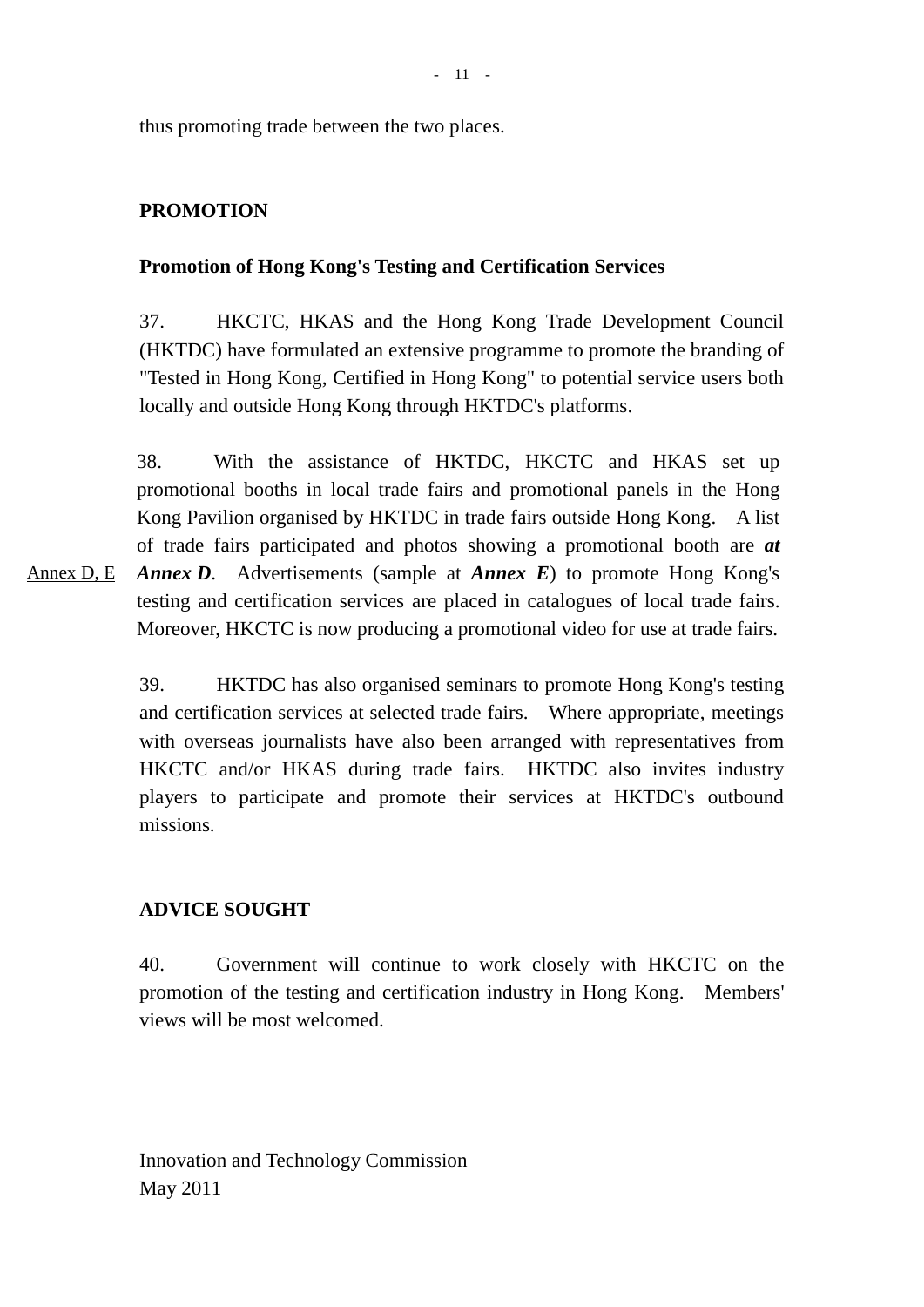thus promoting trade between the two places.

## **PROMOTION**

### **Promotion of Hong Kong's Testing and Certification Services**

37. HKCTC, HKAS and the Hong Kong Trade Development Council (HKTDC) have formulated an extensive programme to promote the branding of "Tested in Hong Kong, Certified in Hong Kong" to potential service users both locally and outside Hong Kong through HKTDC's platforms.

Annex D, E 38. With the assistance of HKTDC, HKCTC and HKAS set up promotional booths in local trade fairs and promotional panels in the Hong Kong Pavilion organised by HKTDC in trade fairs outside Hong Kong. A list of trade fairs participated and photos showing a promotional booth are *at Annex D*. Advertisements (sample at *Annex E*) to promote Hong Kong's testing and certification services are placed in catalogues of local trade fairs. Moreover, HKCTC is now producing a promotional video for use at trade fairs.

> 39. HKTDC has also organised seminars to promote Hong Kong's testing and certification services at selected trade fairs. Where appropriate, meetings with overseas journalists have also been arranged with representatives from HKCTC and/or HKAS during trade fairs. HKTDC also invites industry players to participate and promote their services at HKTDC's outbound missions.

### **ADVICE SOUGHT**

40. Government will continue to work closely with HKCTC on the promotion of the testing and certification industry in Hong Kong. Members' views will be most welcomed.

Innovation and Technology Commission May 2011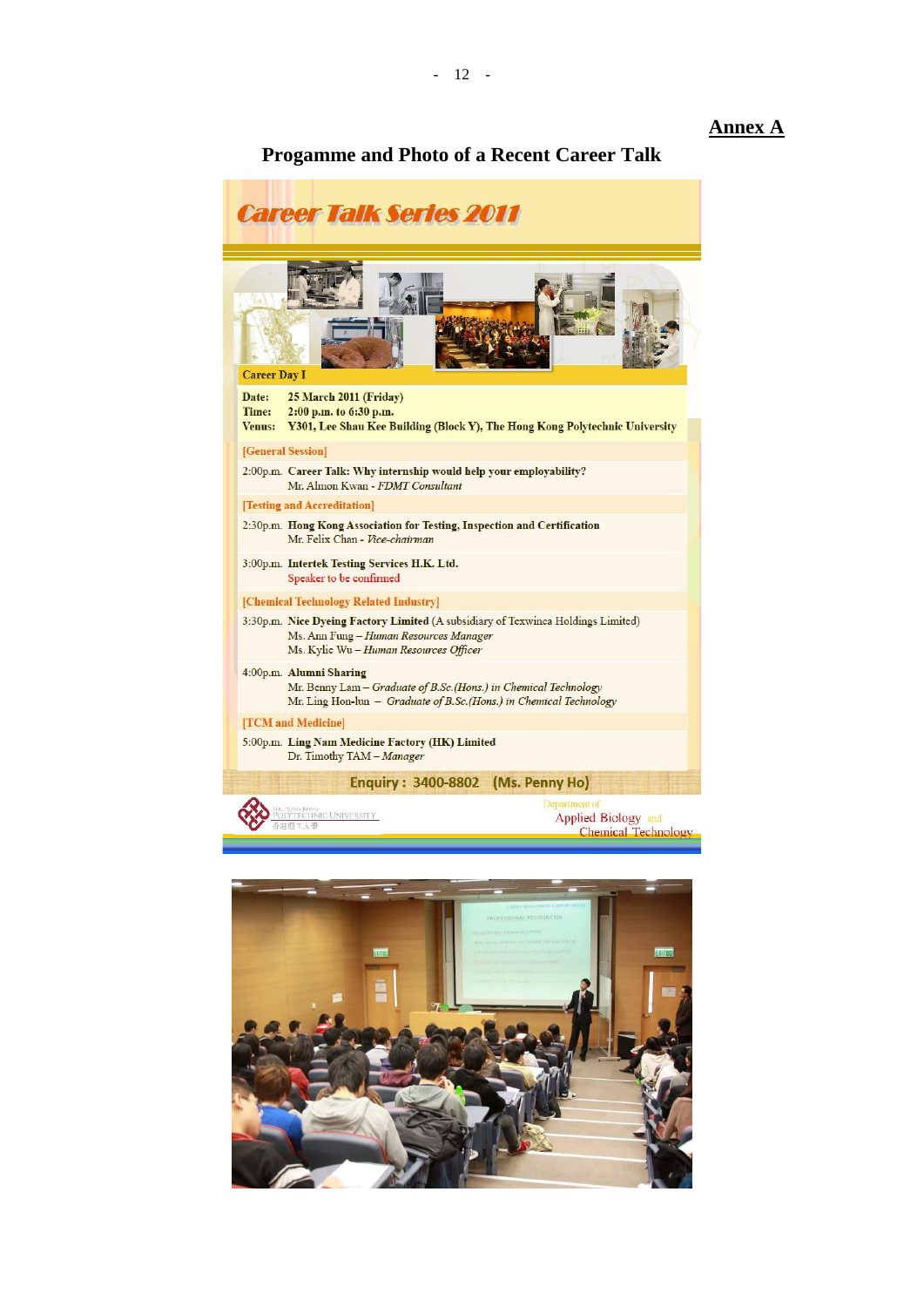#### **Annex A**

#### **Progamme and Photo of a Recent Career Talk**



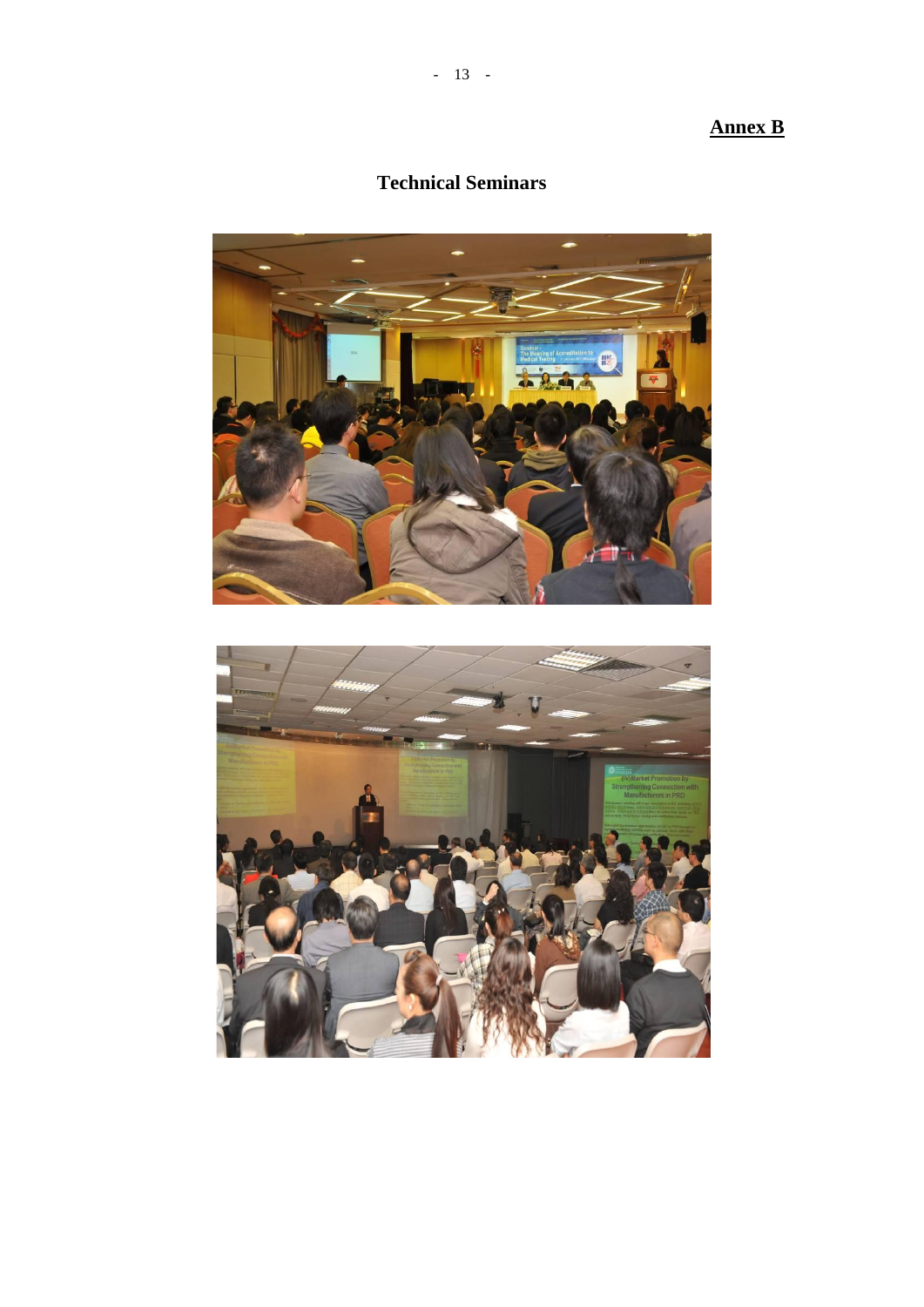# **Annex B**

# **Technical Seminars**

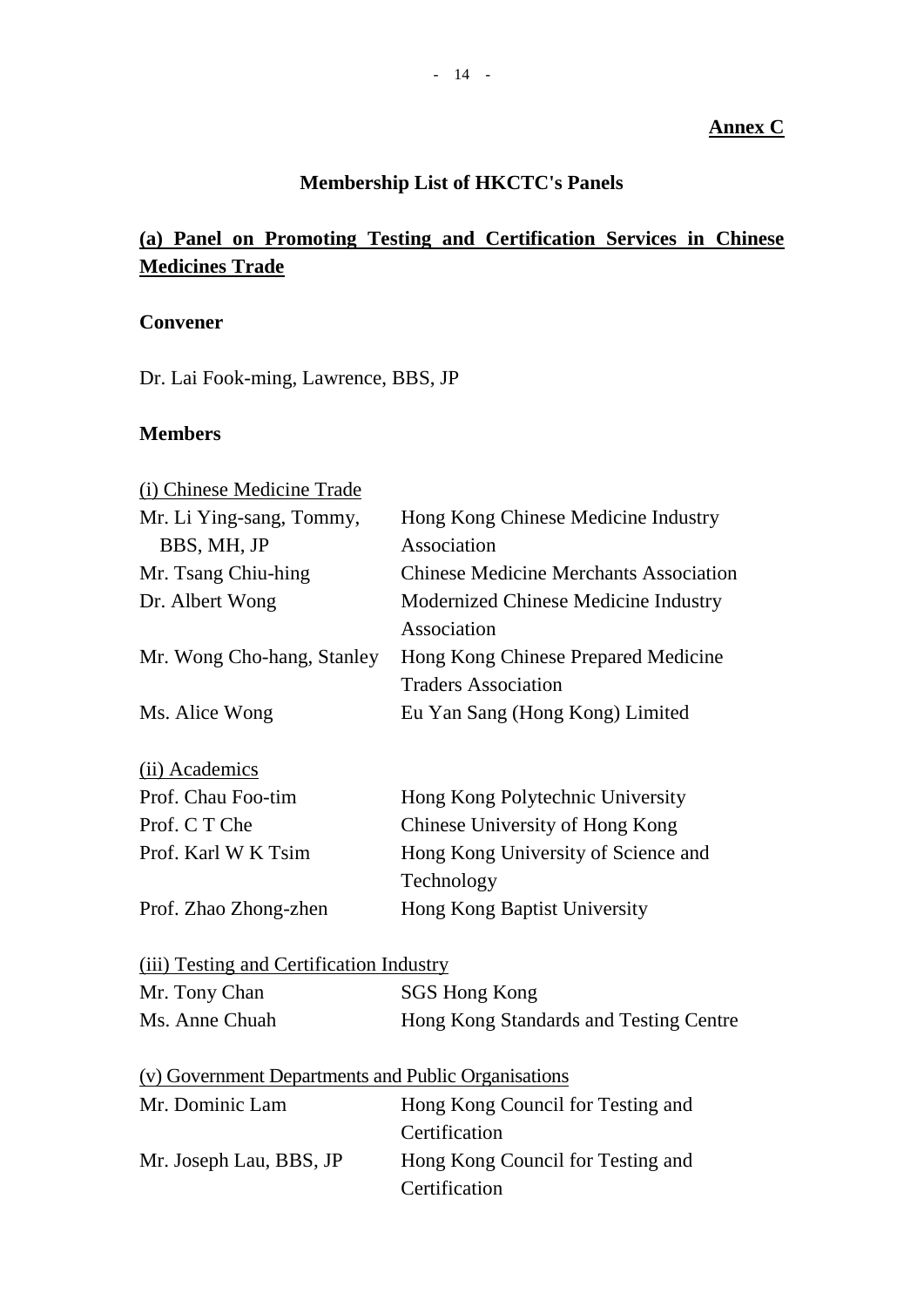# **Annex C**

# **Membership List of HKCTC's Panels**

# **(a) Panel on Promoting Testing and Certification Services in Chinese Medicines Trade**

# **Convener**

Dr. Lai Fook-ming, Lawrence, BBS, JP

### **Members**

| (i) Chinese Medicine Trade                          |                                               |
|-----------------------------------------------------|-----------------------------------------------|
| Mr. Li Ying-sang, Tommy,                            | Hong Kong Chinese Medicine Industry           |
| BBS, MH, JP                                         | Association                                   |
| Mr. Tsang Chiu-hing                                 | <b>Chinese Medicine Merchants Association</b> |
| Dr. Albert Wong                                     | Modernized Chinese Medicine Industry          |
|                                                     | Association                                   |
| Mr. Wong Cho-hang, Stanley                          | Hong Kong Chinese Prepared Medicine           |
|                                                     | <b>Traders Association</b>                    |
| Ms. Alice Wong                                      | Eu Yan Sang (Hong Kong) Limited               |
| (ii) Academics                                      |                                               |
| Prof. Chau Foo-tim                                  | Hong Kong Polytechnic University              |
| Prof. C T Che                                       | Chinese University of Hong Kong               |
| Prof. Karl W K Tsim                                 | Hong Kong University of Science and           |
|                                                     | Technology                                    |
| Prof. Zhao Zhong-zhen                               | Hong Kong Baptist University                  |
| (iii) Testing and Certification Industry            |                                               |
| Mr. Tony Chan                                       | <b>SGS Hong Kong</b>                          |
| Ms. Anne Chuah                                      | Hong Kong Standards and Testing Centre        |
| (v) Government Departments and Public Organisations |                                               |
| Mr. Dominic Lam                                     | Hong Kong Council for Testing and             |
|                                                     | Certification                                 |
| Mr. Joseph Lau, BBS, JP                             | Hong Kong Council for Testing and             |
|                                                     | Certification                                 |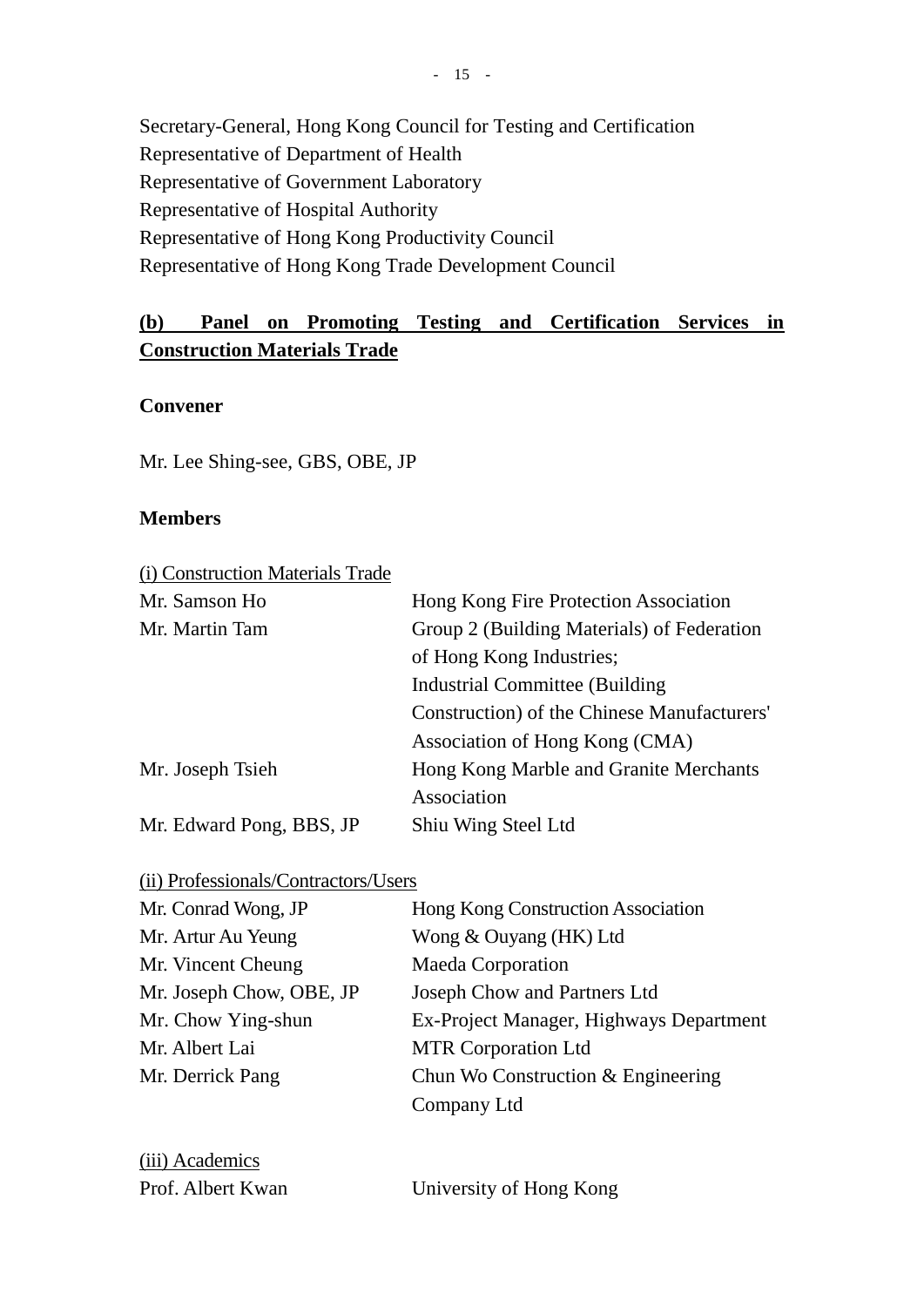Secretary-General, Hong Kong Council for Testing and Certification Representative of Department of Health Representative of Government Laboratory Representative of Hospital Authority Representative of Hong Kong Productivity Council Representative of Hong Kong Trade Development Council

# **(b) Panel on Promoting Testing and Certification Services in Construction Materials Trade**

### **Convener**

Mr. Lee Shing-see, GBS, OBE, JP

### **Members**

| (i) Construction Materials Trade |                                             |
|----------------------------------|---------------------------------------------|
| Mr. Samson Ho                    | Hong Kong Fire Protection Association       |
| Mr. Martin Tam                   | Group 2 (Building Materials) of Federation  |
|                                  | of Hong Kong Industries;                    |
|                                  | <b>Industrial Committee (Building</b>       |
|                                  | Construction) of the Chinese Manufacturers' |
|                                  | Association of Hong Kong (CMA)              |
| Mr. Joseph Tsieh                 | Hong Kong Marble and Granite Merchants      |
|                                  | Association                                 |
| Mr. Edward Pong, BBS, JP         | Shiu Wing Steel Ltd                         |

(ii) Professionals/Contractors/Users

| Mr. Conrad Wong, JP      | Hong Kong Construction Association      |
|--------------------------|-----------------------------------------|
| Mr. Artur Au Yeung       | Wong & Ouyang (HK) Ltd                  |
| Mr. Vincent Cheung       | <b>Maeda Corporation</b>                |
| Mr. Joseph Chow, OBE, JP | Joseph Chow and Partners Ltd            |
| Mr. Chow Ying-shun       | Ex-Project Manager, Highways Department |
| Mr. Albert Lai           | <b>MTR Corporation Ltd</b>              |
| Mr. Derrick Pang         | Chun Wo Construction $&$ Engineering    |
|                          | Company Ltd                             |
|                          |                                         |

| (iii) Academics   |       |
|-------------------|-------|
| Prof. Albert Kwan | Unive |

Prsity of Hong Kong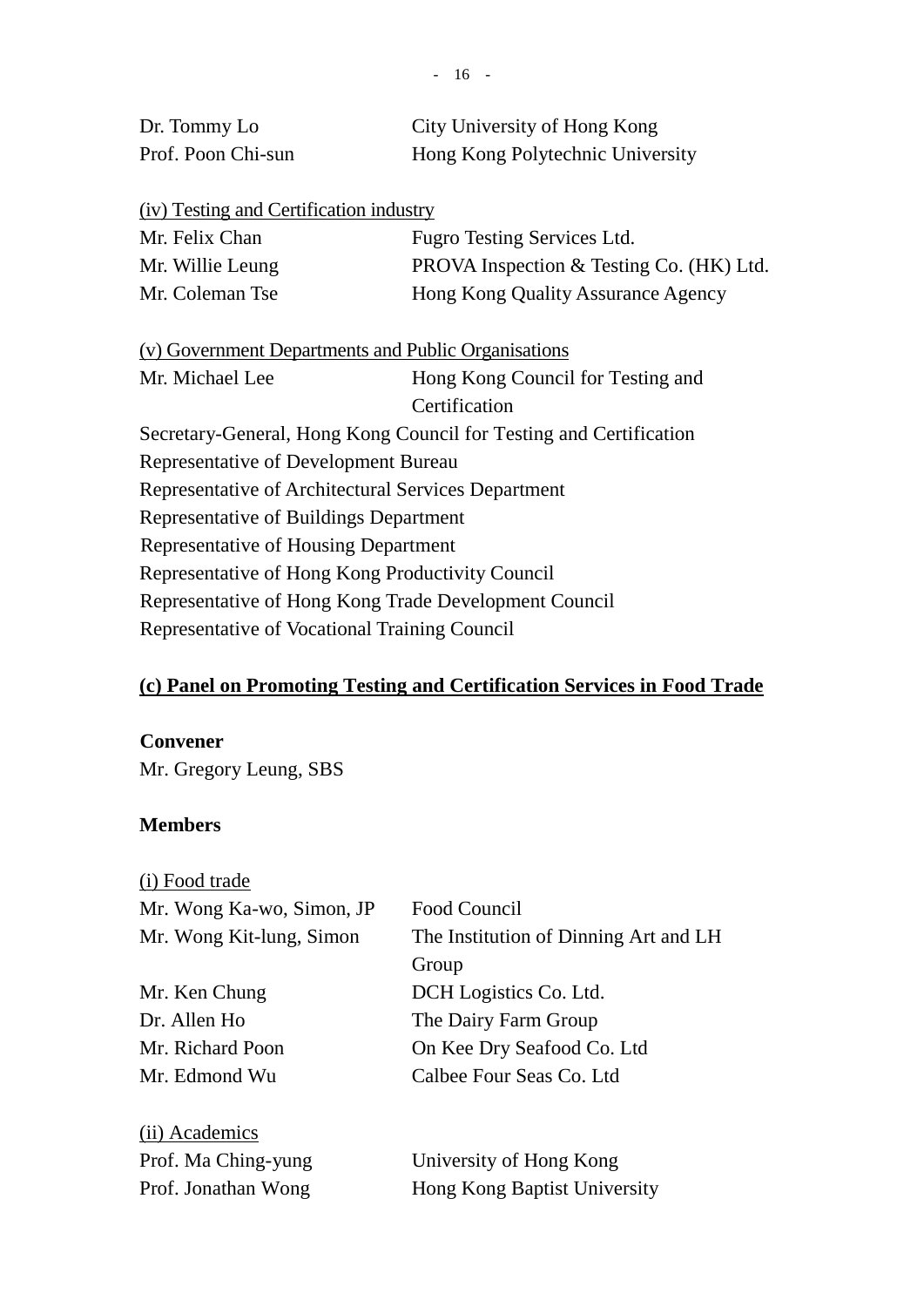| Dr. Tommy Lo       | City University of Hong Kong     |
|--------------------|----------------------------------|
| Prof. Poon Chi-sun | Hong Kong Polytechnic University |

(iv) Testing and Certification industry

| Mr. Felix Chan   | Fugro Testing Services Ltd.              |
|------------------|------------------------------------------|
| Mr. Willie Leung | PROVA Inspection & Testing Co. (HK) Ltd. |
| Mr. Coleman Tse  | Hong Kong Quality Assurance Agency       |

(v) Government Departments and Public Organisations

Mr. Michael Lee Hong Kong Council for Testing and Certification Secretary-General, Hong Kong Council for Testing and Certification Representative of Development Bureau Representative of Architectural Services Department Representative of Buildings Department Representative of Housing Department Representative of Hong Kong Productivity Council Representative of Hong Kong Trade Development Council Representative of Vocational Training Council

# **(c) Panel on Promoting Testing and Certification Services in Food Trade**

### **Convener**

Mr. Gregory Leung, SBS

### **Members**

| (i) Food trade            |                                       |
|---------------------------|---------------------------------------|
| Mr. Wong Ka-wo, Simon, JP | Food Council                          |
| Mr. Wong Kit-lung, Simon  | The Institution of Dinning Art and LH |
|                           | Group                                 |
| Mr. Ken Chung             | DCH Logistics Co. Ltd.                |
| Dr. Allen Ho              | The Dairy Farm Group                  |
| Mr. Richard Poon          | On Kee Dry Seafood Co. Ltd            |
| Mr. Edmond Wu             | Calbee Four Seas Co. Ltd              |
|                           |                                       |
| (ii) Academics            |                                       |
| Prof. Ma Ching-yung       | University of Hong Kong               |
| Prof. Jonathan Wong       | Hong Kong Baptist University          |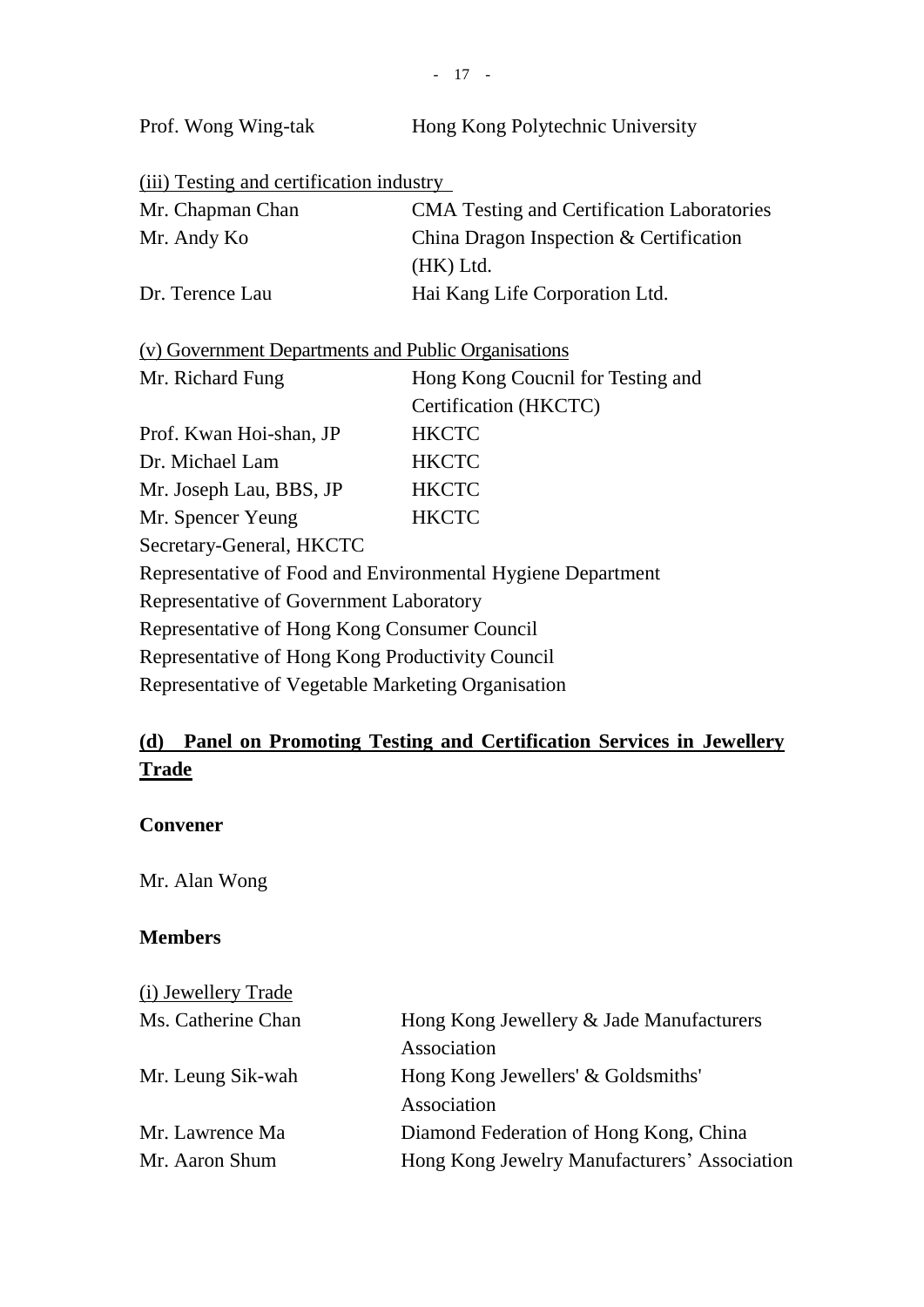| Prof. Wong Wing-tak                                         | Hong Kong Polytechnic University                  |  |
|-------------------------------------------------------------|---------------------------------------------------|--|
| (iii) Testing and certification industry                    |                                                   |  |
| Mr. Chapman Chan                                            | <b>CMA</b> Testing and Certification Laboratories |  |
| Mr. Andy Ko                                                 | China Dragon Inspection & Certification           |  |
|                                                             | (HK) Ltd.                                         |  |
| Dr. Terence Lau                                             | Hai Kang Life Corporation Ltd.                    |  |
|                                                             |                                                   |  |
| (v) Government Departments and Public Organisations         |                                                   |  |
| Mr. Richard Fung                                            | Hong Kong Coucnil for Testing and                 |  |
|                                                             | Certification (HKCTC)                             |  |
| Prof. Kwan Hoi-shan, JP                                     | <b>HKCTC</b>                                      |  |
| Dr. Michael Lam                                             | <b>HKCTC</b>                                      |  |
| Mr. Joseph Lau, BBS, JP                                     | <b>HKCTC</b>                                      |  |
| Mr. Spencer Yeung                                           | <b>HKCTC</b>                                      |  |
| Secretary-General, HKCTC                                    |                                                   |  |
| Representative of Food and Environmental Hygiene Department |                                                   |  |
| Representative of Government Laboratory                     |                                                   |  |
| Representative of Hong Kong Consumer Council                |                                                   |  |
| Representative of Hong Kong Productivity Council            |                                                   |  |
| Representative of Vegetable Marketing Organisation          |                                                   |  |

# **(d) Panel on Promoting Testing and Certification Services in Jewellery Trade**

# **Convener**

Mr. Alan Wong

# **Members**

| (i) Jewellery Trade |                                              |
|---------------------|----------------------------------------------|
| Ms. Catherine Chan  | Hong Kong Jewellery & Jade Manufacturers     |
|                     | Association                                  |
| Mr. Leung Sik-wah   | Hong Kong Jewellers' & Goldsmiths'           |
|                     | Association                                  |
| Mr. Lawrence Ma     | Diamond Federation of Hong Kong, China       |
| Mr. Aaron Shum      | Hong Kong Jewelry Manufacturers' Association |
|                     |                                              |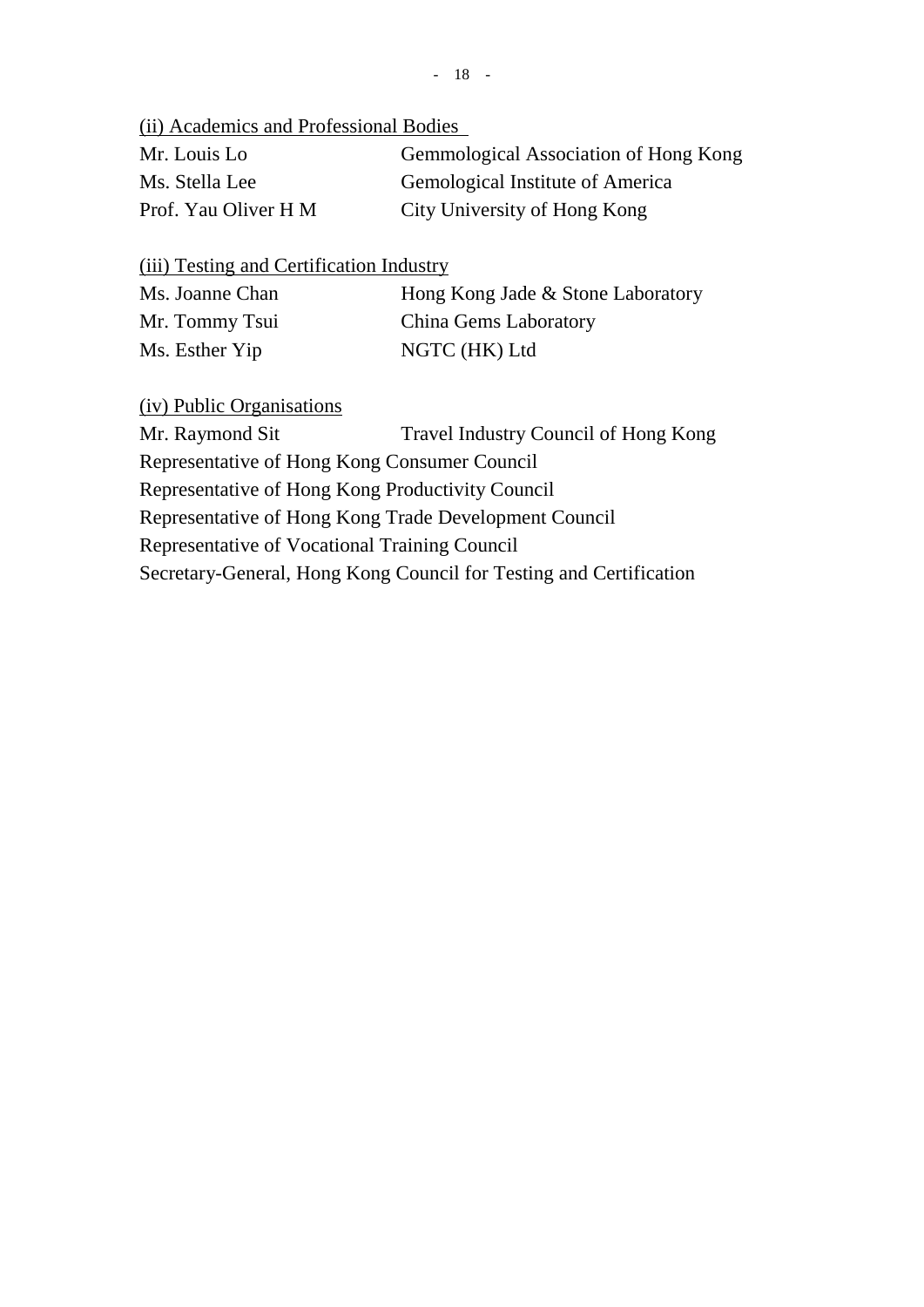(ii) Academics and Professional Bodies

| Mr. Louis Lo         | Gemmological Association of Hong Kong |
|----------------------|---------------------------------------|
| Ms. Stella Lee       | Gemological Institute of America      |
| Prof. Yau Oliver H M | City University of Hong Kong          |

(iii) Testing and Certification Industry

| Ms. Joanne Chan | Hong Kong Jade & Stone Laboratory |
|-----------------|-----------------------------------|
| Mr. Tommy Tsui  | China Gems Laboratory             |
| Ms. Esther Yip  | NGTC (HK) Ltd                     |

(iv) Public Organisations

Mr. Raymond Sit Travel Industry Council of Hong Kong

Representative of Hong Kong Consumer Council

Representative of Hong Kong Productivity Council

Representative of Hong Kong Trade Development Council

Representative of Vocational Training Council

Secretary-General, Hong Kong Council for Testing and Certification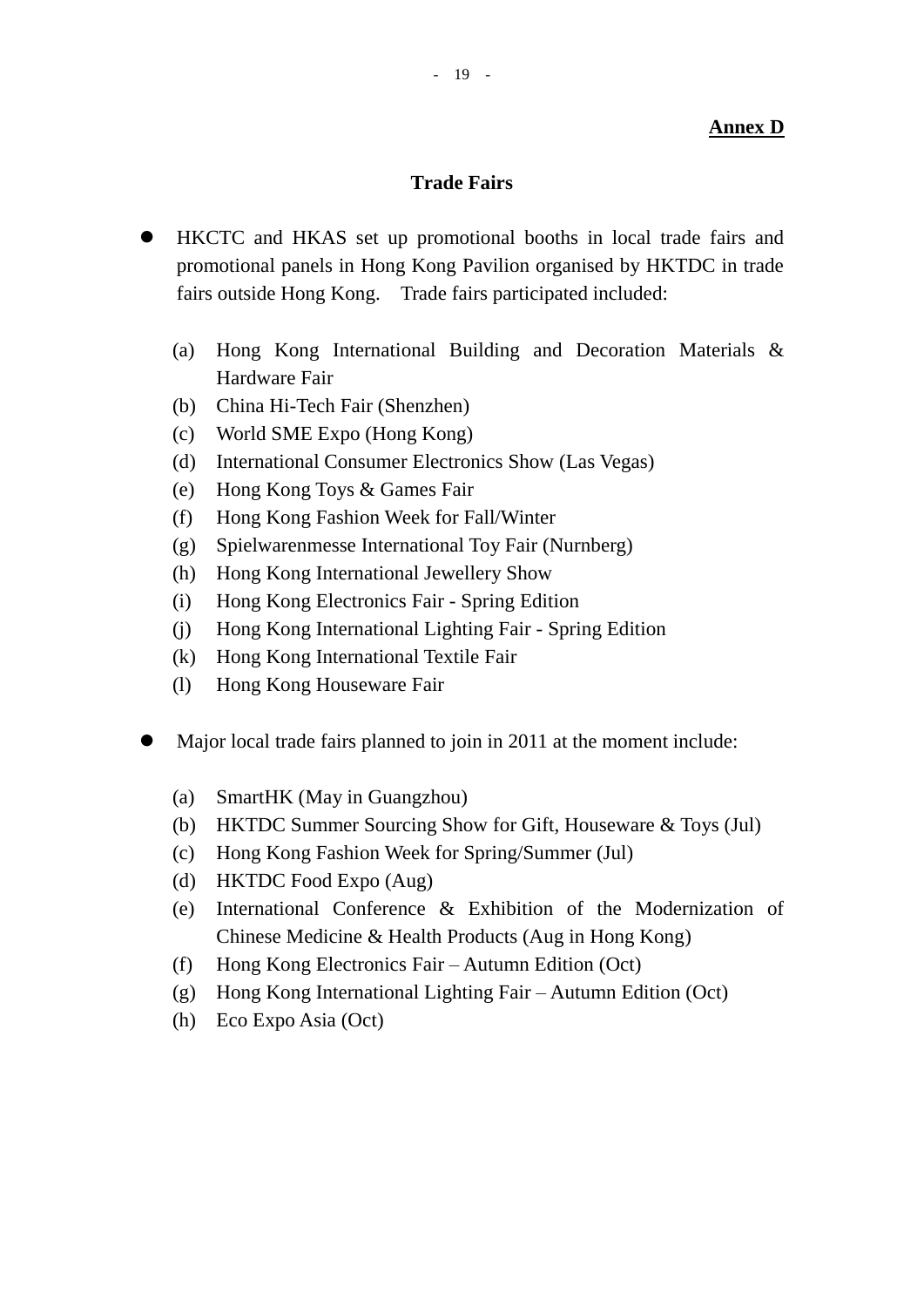## **Trade Fairs**

- HKCTC and HKAS set up promotional booths in local trade fairs and promotional panels in Hong Kong Pavilion organised by HKTDC in trade fairs outside Hong Kong. Trade fairs participated included:
	- (a) Hong Kong International Building and Decoration Materials & Hardware Fair
	- (b) China Hi-Tech Fair (Shenzhen)
	- (c) World SME Expo (Hong Kong)
	- (d) International Consumer Electronics Show (Las Vegas)
	- (e) Hong Kong Toys & Games Fair
	- (f) Hong Kong Fashion Week for Fall/Winter
	- (g) Spielwarenmesse International Toy Fair (Nurnberg)
	- (h) Hong Kong International Jewellery Show
	- (i) Hong Kong Electronics Fair Spring Edition
	- (j) Hong Kong International Lighting Fair Spring Edition
	- (k) Hong Kong International Textile Fair
	- (l) Hong Kong Houseware Fair
- Major local trade fairs planned to join in 2011 at the moment include:
	- (a) SmartHK (May in Guangzhou)
	- (b) HKTDC Summer Sourcing Show for Gift, Houseware & Toys (Jul)
	- (c) Hong Kong Fashion Week for Spring/Summer (Jul)
	- (d) HKTDC Food Expo (Aug)
	- (e) International Conference & Exhibition of the Modernization of Chinese Medicine & Health Products (Aug in Hong Kong)
	- (f) Hong Kong Electronics Fair Autumn Edition (Oct)
	- (g) Hong Kong International Lighting Fair Autumn Edition (Oct)
	- (h) Eco Expo Asia (Oct)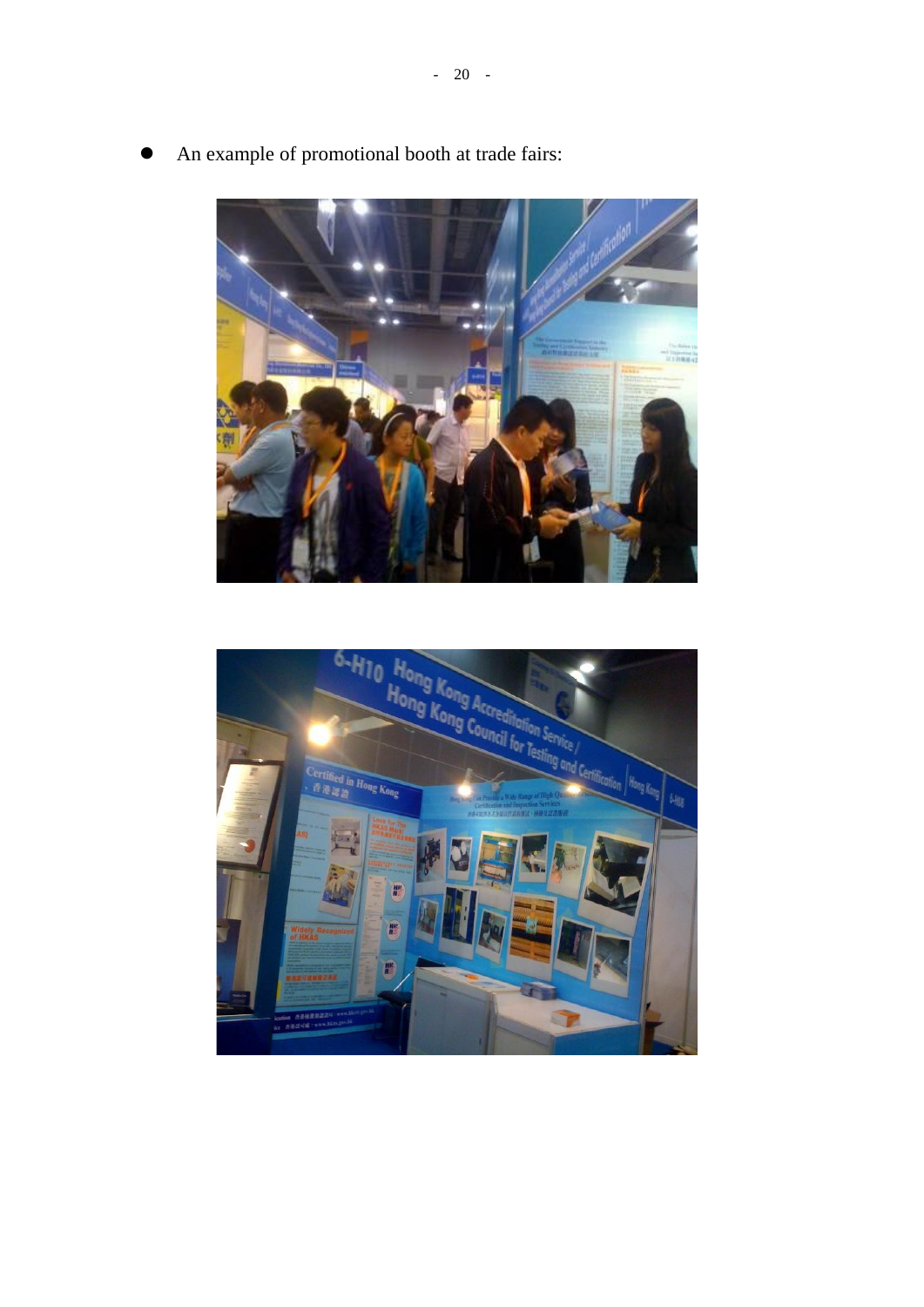

An example of promotional booth at trade fairs: